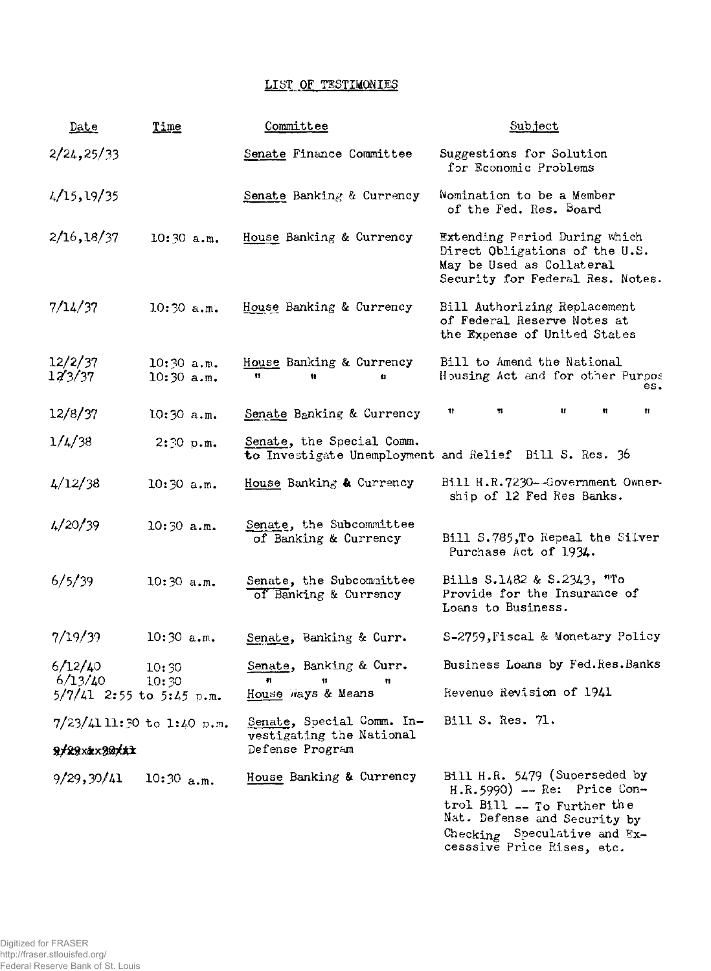## **LIST OF TESTIMONIES**

| Date                                       | Time                         | Committee                                                                | Subject                                                                                                                                                                                      |
|--------------------------------------------|------------------------------|--------------------------------------------------------------------------|----------------------------------------------------------------------------------------------------------------------------------------------------------------------------------------------|
| 2/24, 25/33                                |                              | Senate Finance Committee                                                 | Suggestions for Solution<br>for Economic Problems                                                                                                                                            |
| 4/15, 19/35                                |                              | Senate Banking & Currency                                                | Nomination to be a Member<br>of the Fed. Res. Board                                                                                                                                          |
| 2/16, 18/37                                | 10:30 a.m.                   | House Banking & Currency                                                 | Extending Period During which<br>Direct Obligations of the U.S.<br>May be Used as Collateral<br>Security for Federal Res. Notes.                                                             |
| 7/14/37                                    | $10:30$ a.m.                 | House Banking & Currency                                                 | Bill Authorizing Replacement<br>of Federal Reserve Notes at<br>the Expense of United States                                                                                                  |
| 12/2/37<br>$12^{2}/37$                     | $10:30$ a.m.<br>$10:30$ a.m. | House Banking & Currency<br>11<br>Ħ<br>$\mathbf{H}$                      | Bill to Amend the National<br>Housing Act and for other Purpos<br>es.                                                                                                                        |
| 12/8/37                                    | $10:30$ a.m.                 | Senate Banking & Currency                                                | $\mathbf{H}$<br>n<br>11<br>Ħ.<br>Ħ                                                                                                                                                           |
| 1/4/38                                     | $2:30$ p.m.                  | Senate, the Special Comm.                                                | to Investigate Unemployment and Relief Bill S. Res. 36                                                                                                                                       |
| 4/12/38                                    | $10:30$ a.m.                 | House Banking & Currency                                                 | Bill H.R.7230--Government Owner-<br>ship of 12 Fed Res Banks.                                                                                                                                |
| 4/20/39                                    | 10:30 a.m.                   | Senate, the Subcommittee<br>of Banking & Currency                        | Bill S.785, To Repeal the Silver<br>Purchase Act of 1934.                                                                                                                                    |
| 6/5/39                                     | $10:30$ a.m.                 | Senate, the Subcommittee<br>of Banking & Currency                        | Bills S.1482 & S.2343, "To<br>Provide for the Insurance of<br>Loans to Business.                                                                                                             |
| 7/19/39                                    | $10:30$ a.m.                 | Senate, Banking & Curr.                                                  | S-2759, Fiscal & Monetary Policy                                                                                                                                                             |
| 6/12/40<br>$6/13/40$ 10:30                 | 10:30                        | Senate, Banking & Curr.<br>$\mathbf{H}$<br>11<br>Ħ                       | Business Loans by Fed.Res.Banks                                                                                                                                                              |
| $5/7/41$ 2:55 to 5:45 p.m.                 |                              | House ways & Means                                                       | Revenue Revision of 1941                                                                                                                                                                     |
| $7/23/4111:30$ to 1:40 p.m.<br>9/29x&x30xx |                              | Senate, Special Comm. In-<br>vestigating the National<br>Defense Program | Bill S. Res. 71.                                                                                                                                                                             |
|                                            |                              |                                                                          |                                                                                                                                                                                              |
| 9/29, 30/41                                | $10:30$ a.m.                 | House Banking & Currency                                                 | Bill H.R. 5479 (Superseded by<br>$H.R.5990$ ) -- Re: Price Con-<br>trol Bill -- To Further the<br>Nat. Defense and Security by<br>Checking Speculative and Ex-<br>cesssive Price Rises, etc. |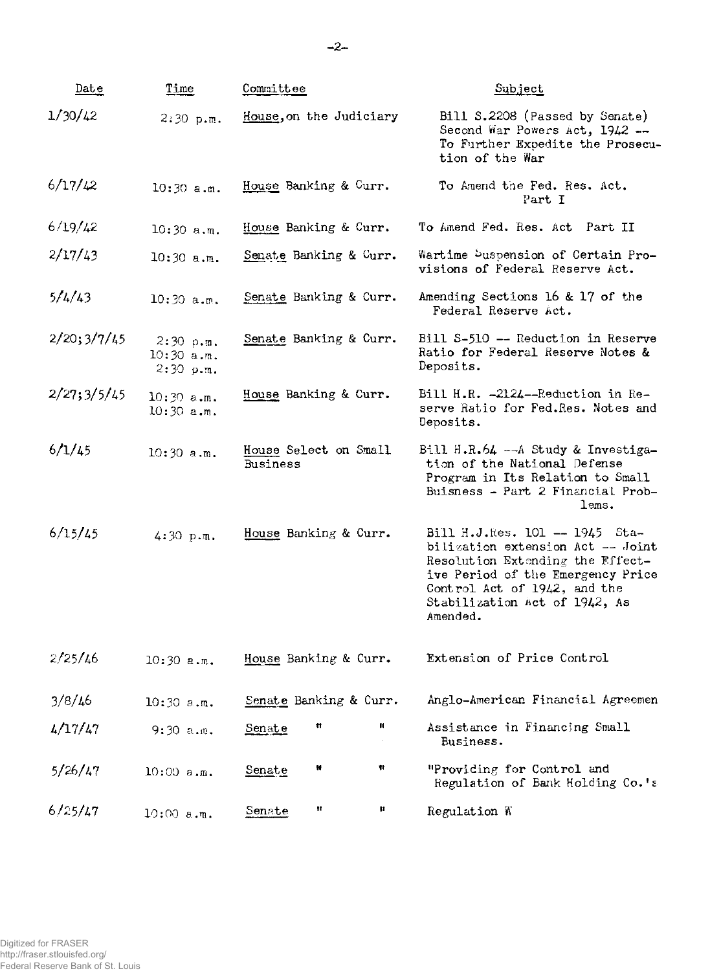| Date        | Time                                       | Committee                         | <u>Subject</u>                                                                                                                                                                                                            |
|-------------|--------------------------------------------|-----------------------------------|---------------------------------------------------------------------------------------------------------------------------------------------------------------------------------------------------------------------------|
| 1/30/42     | $2:30$ p.m.                                | House, on the Judiciary           | Bill S.2208 (Passed by Senate)<br>Second War Powers Act, 1942 --<br>To Further Expedite the Prosecu-<br>tion of the War                                                                                                   |
| 6/17/42     | $10:30$ a.m.                               | House Banking & Curr.             | To Amend the Fed. Res. Act.<br>Part I                                                                                                                                                                                     |
| 6/19/42     | $10:30$ a.m.                               | House Banking & Curr.             | To Amend Fed. Res. Act Part II                                                                                                                                                                                            |
| 2/17/43     | $10:30$ a.m.                               | Senate Banking & Curr.            | Wartime Duspension of Certain Pro-<br>visions of Federal Reserve Act.                                                                                                                                                     |
| 5/4/43      | $10:30$ a.m.                               | Senate Banking & Curr.            | Amending Sections 16 & 17 of the<br>Federal Reserve Act.                                                                                                                                                                  |
| 2/20;3/7/45 | $2:30$ p.m.<br>$10:30$ a.m.<br>$2:30$ p.m. | Senate Banking & Curr.            | Bill S-510 -- Reduction in Reserve<br>Ratio for Federal Reserve Notes &<br>Deposits.                                                                                                                                      |
| 2/27;3/5/45 | $10:30$ a.m.<br>$10:30$ a.m.               | House Banking & Curr.             | Bill H.R. -2124--Reduction in Re-<br>serve Ratio for Fed.Res. Notes and<br>Deposits.                                                                                                                                      |
| 6/1/45      | $10:30$ a.m.                               | House Select on Small<br>Business | Bill H.R.64 $-$ -A Study & Investiga-<br>tion of the National Defense<br>Program in Its Relation to Small<br>Buisness - Part 2 Financial Prob-<br>lems.                                                                   |
| 6/15/45     | $4:30$ p.m.                                | House Banking & Curr.             | Bill H.J.Res. 101 -- 1945 Sta-<br>bilization extension Act -- Joint<br>Resolution Extending the Effect-<br>ive Period of the Emergency Price<br>Control Act of 1942, and the<br>Stabilization Act of 1942, As<br>Amended. |
| 2/25/46     | $10:30$ a.m.                               | House Banking & Curr.             | Extension of Price Control                                                                                                                                                                                                |
| 3/8/16      | $10:30$ a.m.                               | Senate Banking & Curr.            | Anglo-American Financial Agreemen                                                                                                                                                                                         |
| 4/17/47     | $9:30$ a.m.                                | и<br>Ħ<br><u>Senate</u>           | Assistance in Financing Small<br>Business.                                                                                                                                                                                |
| 5/26/47     | 10:00 s.m.                                 | Ħ<br>Ħ<br>Senate                  | "Providing for Control and<br>Regulation of Bank Holding Co.'s                                                                                                                                                            |
| 6/25/47     | $10:00$ a.m.                               | Ħ<br>H<br>Senate                  | Regulation W                                                                                                                                                                                                              |